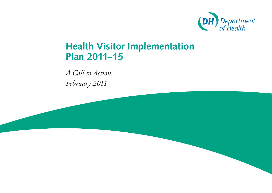

# **Health Visitor Implementation Plan 2011–15**

*A Call to Action February 2011*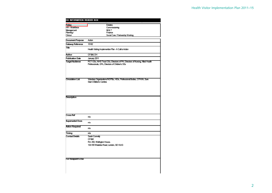| Policy                  | <b>Estates</b>                                                                                                                 |
|-------------------------|--------------------------------------------------------------------------------------------------------------------------------|
| HR / Workforce          | Commissioning                                                                                                                  |
| Management              | IM&T                                                                                                                           |
| Planning/               | Finance                                                                                                                        |
| Cinical                 | Social Care / Partnership Working                                                                                              |
| <b>Document Purpose</b> | Action                                                                                                                         |
| Gateway Reference       | 15182                                                                                                                          |
| Title                   | Health Visiting Implemention Plan - A Call to Action                                                                           |
| Author                  | CF&M, DH                                                                                                                       |
| <b>Publication Date</b> | January 2011                                                                                                                   |
| Target Audience         | PCT CEs, NHS Trust CEs, Directors of PH, Directors of Nursing, Alied Health<br>Professionals, GPs, Directors of Children's SSs |
| Circulation List        | Voluntary Organisations/NDPBs, HEIs, Professional Bodies, CPHVA, Sure<br><b>Start Children's Centres</b>                       |
| Description             |                                                                                                                                |
|                         |                                                                                                                                |
| <b>Cross Ref</b>        | n/a                                                                                                                            |
| <b>Superseded Docs</b>  | n/a                                                                                                                            |
| Action Required         | n/a                                                                                                                            |
| Timing                  | n/a                                                                                                                            |
| <b>Contact Details</b>  | Sarah Connely                                                                                                                  |
|                         | CF&M                                                                                                                           |
|                         |                                                                                                                                |
|                         | Rm 202, Welington House,                                                                                                       |
|                         | 133-155 Waterloo Road, London, SE1 8UG                                                                                         |
| For Recipient's Use     |                                                                                                                                |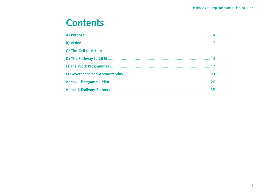# **Contents**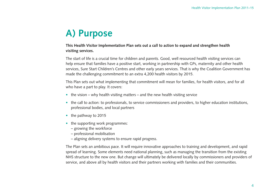# **A) Purpose**

## **This Health Visitor Implementation Plan sets out a call to action to expand and strengthen health visiting services.**

The start of life is a crucial time for children and parents. Good, well resourced health visiting services can help ensure that families have a positive start, working in partnership with GPs, maternity and other health services, Sure Start Children's Centres and other early years services. That is why the Coalition Government has made the challenging commitment to an extra 4,200 health visitors by 2015.

This Plan sets out what implementing that commitment will mean for families, for health visitors, and for all who have a part to play. It covers:

- the vision why health visiting matters and the new health visiting service
- the call to action: to professionals, to service commissioners and providers, to higher education institutions, professional bodies, and local partners
- the pathway to 2015
- the supporting work programmes:
	- growing the workforce
	- professional mobilisation
	- aligning delivery systems to ensure rapid progress.

The Plan sets an ambitious pace. It will require innovative approaches to training and development, and rapid spread of learning. Some elements need national planning, such as managing the transition from the existing NHS structure to the new one. But change will ultimately be delivered locally by commissioners and providers of service, and above all by health visitors and their partners working with families and their communities.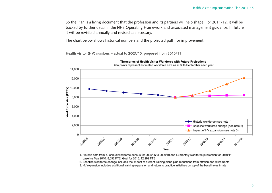So the Plan is a living document that the profession and its partners will help shape. For 2011/12, it will be backed by further detail in the NHS Operating Framework and associated management guidance. In future it will be revisited annually and revised as necessary.

The chart below shows historical numbers and the projected path for improvement.

**Health visitor (HV) numbers – actual to 2009/10; proposed from 2010/11**



1. Historic data from IC annual workforce census for 2005/06 to 2009/10 and IC monthly workforce publication for 2010/11: baseline May 2010: 8,092 FTE. Goal for 2015: 12,292 FTE

2. Baseline workforce change includes the impact of current training plans plus reductions from attrition and retirements

3. HV expansion includes additional training expansion and return to practice initiatives on top of the baseline estimate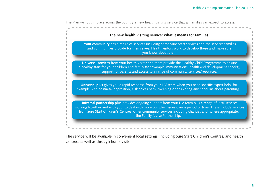The Plan will put in place across the country a new health visiting service that all families can expect to access.

| The new health visiting service: what it means for families                                                                                                                                                                                                                                                                                                        |
|--------------------------------------------------------------------------------------------------------------------------------------------------------------------------------------------------------------------------------------------------------------------------------------------------------------------------------------------------------------------|
| Your community has a range of services including some Sure Start services and the services families<br>and communities provide for themselves. Health visitors work to develop these and make sure<br>you know about them.                                                                                                                                         |
| Universal services from your health visitor and team provide the Healthy Child Programme to ensure<br>a healthy start for your children and family (for example immunisations, health and development checks),<br>support for parents and access to a range of community services/resources.                                                                       |
| Universal plus gives you a rapid response from your HV team when you need specific expert help, for<br>example with postnatal depression, a sleepless baby, weaning or answering any concerns about parenting.                                                                                                                                                     |
| Universal partnership plus provides ongoing support from your HV team plus a range of local services<br>working together and with you, to deal with more complex issues over a period of time. These include services<br>from Sure Start Children's Centres, other community services including charities and, where appropriate,<br>the Family Nurse Partnership. |

The service will be available in convenient local settings, including Sure Start Children's Centres, and health centres, as well as through home visits.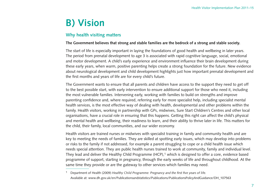# **B) Vision**

# **Why health visiting matters**

### **The Government believes that strong and stable families are the bedrock of a strong and stable society.**

The start of life is especially important in laying the foundations of good health and wellbeing in later years. The period from prenatal development to age 3 is associated with rapid cognitive language, social, emotional and motor development. A child's early experience and environment influence their brain development during these early years, when warm, positive parenting helps create a strong foundation for the future. New evidence about neurological development and child development highlights just how important prenatal development and the first months and years of life are for every child's future.

The Government wants to ensure that all parents and children have access to the support they need to get off to the best possible start, with early intervention to ensure additional support for those who need it, including the most vulnerable families. Intervening early, working with families to build on strengths and improve parenting confidence and, where required, referring early for more specialist help, including specialist mental health services, is the most effective way of dealing with health, developmental and other problems within the family. Health visitors, working in partnership with GPs, midwives, Sure Start Children's Centres and other local organisations, have a crucial role in ensuring that this happens. Getting this right can affect the child's physical and mental health and wellbeing, their readiness to learn, and their ability to thrive later in life. This matters for the child, their family, local communities, and our wider economy.

Health visitors are trained nurses or midwives with specialist training in family and community health and are key to meeting the needs of families. They are skilled at spotting early issues, which may develop into problems or risks to the family if not addressed, for example a parent struggling to cope or a child health issue which needs special attention. They are public health nurses trained to work at community, family and individual level. They lead and deliver the Healthy Child Programme (HCP),<sup>1</sup> which is designed to offer a core, evidence based programme of support, starting in pregnancy, through the early weeks of life and throughout childhood. At the same time they provide or are the gateway to other services which families may need.

1 Department of Health (2009) *Healthy Child Programme: Pregnancy and the first five years of life.*  Available at: www.dh.gov.uk/en/Publicationsandstatistics/Publications/PublicationsPolicyAndGuidance/DH\_107563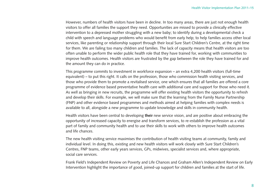However, numbers of health visitors have been in decline. In too many areas, there are just not enough health visitors to offer all families the support they need. Opportunities are missed to provide a clinically effective intervention to a depressed mother struggling with a new baby; to identify during a developmental check a child with speech and language problems who would benefit from early help; to help families access other local services, like parenting or relationship support through their local Sure Start Children's Centre, at the right time for them. We are failing too many children and families. The lack of capacity means that health visitors are too often unable to perform the wider public health role that they have trained for, working with communities to improve health outcomes. Health visitors are frustrated by the gap between the role they have trained for and the amount they can do in practice.

This programme commits to investment in workforce expansion – an extra 4,200 health visitors (full-time equivalent) – to put this right. It calls on the profession, those who commission health visiting services, and those who provide them to promote a revitalised service, one which ensures that all families are offered a core programme of evidence based preventative health care with additional care and support for those who need it. As well as bringing in new recruits, the programme will offer existing health visitors the opportunity to refresh and develop their skills. For example, we will make sure that the learning from the Family Nurse Partnership (FNP) and other evidence based programmes and methods aimed at helping families with complex needs is available to all, alongside a new programme to update knowledge and skills in community health.

Health visitors have been central to developing **their** new service vision, and are positive about embracing the opportunity of increased capacity to energise and transform services, to re-establish the profession as a vital part of family and community health and to use their skills to work with others to improve health outcomes and life chances.

The new health visiting service maximises the contribution of health visiting teams at community, family and individual level. In doing this, existing and new health visitors will work closely with Sure Start Children's Centres, FNP teams, other early years services, GPs, midwives, specialist services and, where appropriate, social care services.

Frank Field's Independent Review on Poverty and Life Chances and Graham Allen's Independent Review on Early Intervention highlight the importance of good, joined-up support for children and families at the start of life.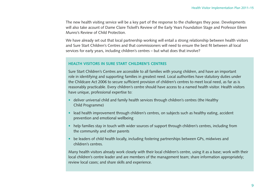The new health visiting service will be a key part of the response to the challenges they pose. Developments will also take acount of Dame Claire Tickell's Review of the Early Years Foundation Stage and Professor Eileen Munro's Review of Child Protection.

We have already set out that local partnership working will entail a strong relationship between health visitors and Sure Start Children's Centres and that commissioners will need to ensure the best fit between all local services for early years, including children's centres – but what does that involve?

#### **HEALTH VISITORS IN SURE START CHILDREN'S CENTRES**

Sure Start Children's Centres are accessible to all families with young children, and have an important role in identifying and supporting families in greatest need. Local authorities have statutory duties under the Childcare Act 2006 to secure sufficient provision of children's centres to meet local need, as far as is reasonably practicable. Every children's centre should have access to a named health visitor. Health visitors have unique, professional expertise to:

- deliver universal child and family health services through children's centres (the Healthy Child Programme)
- lead health improvement through children's centres, on subjects such as healthy eating, accident prevention and emotional wellbeing
- help families stay in touch with wider sources of support through children's centres, including from the community and other parents
- be leaders of child health locally, including fostering partnerships between GPs, midwives and children's centres.

Many health visitors already work closely with their local children's centre, using it as a base; work with their local children's centre leader and are members of the management team; share information appropriately; review local cases; and share skills and experience.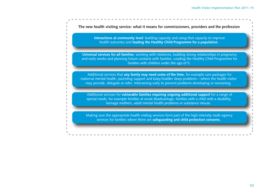**Interactions at community level**: building capacity and using that capacity to improve health outcomes and **leading the Healthy Child Programme for a population**. **The new health visiting service: what it means for commissioners, providers and the profession Universal services for all families**: working with midwives, building strong relationships in pregnancy and early weeks and planning future contacts with families. Leading the Healthy Child Programme for families with children under the age of 5. Additional services that **any family may need some of the time**, for example care packages for maternal mental health, parenting support and baby/toddler sleep problems – where the health visitor may provide, delegate or refer. Intervening early to prevent problems developing or worsening. Additional services for **vulnerable families requiring ongoing additional support** for a range of special needs, for example families at social disadvantage, families with a child with a disability, teenage mothers, adult mental health problems or substance misuse. Making sure the appropriate health visiting services form part of the high intensity multi-agency services for families where there are **safeguarding and child protection concerns**.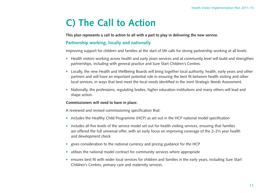# **C) The Call to Action**

**This plan represents a call to action to all with a part to play in delivering the new service.**

## **Partnership working, locally and nationally**

Improving support for children and families at the start of life calls for strong partnership working at all levels:

- Health visitors working across health and early years services and at community level will build and strengthen partnerships, including with general practice and Sure Start Children's Centres.
- Locally, the new Health and Wellbeing Boards will bring together local authority, health, early years and other partners and will have an important potential role in ensuring the best fit between health visiting and other local services, in ways that best meet the local needs identified in the Joint Strategic Needs Assessment.
- Nationally, the professions, regulating bodies, higher education institutions and many others will lead and shape action.

#### **Commissioners will need to have in place:**

A reviewed and revised commissioning specification that:

- includes the Healthy Child Programme (HCP) as set out in the HCP national model specification
- includes all five levels of the service model set out for health visiting services, ensuring that families are offered the full universal offer, with an early focus on improving coverage of the 2–2½ year health and development check
- gives consideration to the national currency and pricing guidance for the HCP
- utilises the national model contract for community services where appropriate
- ensures best fit with wider local services for children and families in the early years, including Sure Start Children's Centres, primary care and maternity services.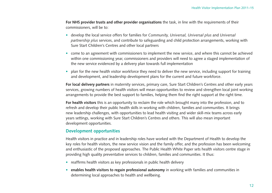**For NHS provider trusts and other provider organisations** the task, in line with the requirements of their commissioners, will be to:

- develop the local service offers for families for *Community, Universal, Universal plus* and *Universal partnership plus* services, and contribute to safeguarding and child protection arrangements, working with Sure Start Children's Centres and other local partners
- come to an agreement with commissioners to implement the new service, and where this cannot be achieved within one commissioning year, commissioners and providers will need to agree a staged implementation of the new service evidenced by a delivery plan towards full implementation
- plan for the new health visitor workforce they need to deliver the new service, including support for training and development, and leadership development plans for the current and future workforce.

**For local delivery partners** in maternity services, primary care, Sure Start Children's Centres and other early years services, growing numbers of health visitors will mean opportunities to review and strengthen local joint working arrangements to provide the best support to families, helping them find the right support at the right time.

**For health visitors** this is an opportunity to reclaim the role which brought many into the profession, and to refresh and develop their public health skills in working with children, families and communities. It brings new leadership challenges, with opportunities to lead health visiting and wider skill-mix teams across early years settings, working with Sure Start Children's Centres and others. This will also mean important development opportunities.

### **Development opportunities**

Health visitors in practice and in leadership roles have worked with the Department of Health to develop the key roles for health visitors, the new service vision and the family offer, and the profession has been welcoming and enthusiastic of the proposed approaches. The Public Health White Paper sets health visitors centre stage in providing high quality preventative services to children, families and communities. It thus:

- reaffirms health visitors as key professionals in public health delivery
- **enables health visitors to regain professional autonomy** in working with families and communities in determining local approaches to health and wellbeing.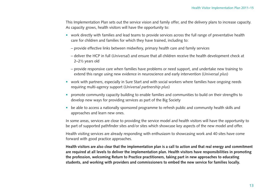This Implementation Plan sets out the service vision and family offer, and the delivery plans to increase capacity. As capacity grows, health visitors will have the opportunity to:

- work directly with families and lead teams to provide services across the full range of preventative health care for children and families for which they have trained, including to:
	- provide effective links between midwifery, primary health care and family services
	- deliver the HCP in full (*Universal*) and ensure that all children receive the health development check at 2–2½ years old
	- provide responsive care when families have problems or need support, and undertake new training to extend this range using new evidence in neuroscience and early intervention (*Universal plus*)
- work with partners, especially in Sure Start and with social workers where families have ongoing needs requiring multi-agency support (*Universal partnership plus*)
- promote community capacity building to enable families and communities to build on their strengths to develop new ways for providing services as part of the Big Society
- be able to access a nationally sponsored programme to refresh public and community health skills and approaches and learn new ones.

In some areas, services are close to providing the service model and health visitors will have the opportunity to be part of supported pathfinder sites and/or sites which showcase key aspects of the new model and offer.

Health visiting services are already responding with enthusiasm to showcasing work and 40 sites have come forward with good practice approaches.

**Health visitors are also clear that the implementation plan is a call to action and that real energy and commitment are required at all levels to deliver the implementation plan. Health visitors have responsibilities in promoting the profession, welcoming Return to Practice practitioners, taking part in new approaches to educating students, and working with providers and commissioners to embed the new service for families locally.**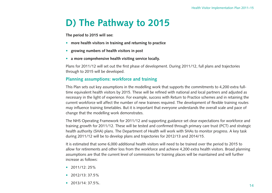# **D) The Pathway to 2015**

**The period to 2015 will see:**

- **more health visitors in training and returning to practice**
- **growing numbers of health visitors in post**
- **a more comprehensive health visiting service locally.**

Plans for 2011/12 will set out the first phase of development. During 2011/12, full plans and trajectories through to 2015 will be developed.

## **Planning assumptions: workforce and training**

This Plan sets out key assumptions in the modelling work that supports the commitments to 4,200 extra fulltime equivalent health visitors by 2015. These will be refined with national and local partners and adjusted as necessary in the light of experience. For example, success with Return to Practice schemes and in retaining the current workforce will affect the number of new trainees required. The development of flexible training routes may influence training timetables. But it is important that everyone understands the overall scale and pace of change that the modelling work demonstrates.

The NHS Operating Framework for 2011/12 and supporting guidance set clear expectations for workforce and training growth for 2011/12. These will be tested and confirmed through primary care trust (PCT) and strategic health authority (SHA) plans. The Department of Health will work with SHAs to monitor progress. A key task during 2011/12 will be to develop plans and trajectories for 2012/13 and 2014/15.

It is estimated that some 6,000 additional health visitors will need to be trained over the period to 2015 to allow for retirements and other loss from the workforce and achieve 4,200 extra health visitors. Broad planning assumptions are that the current level of commissions for training places will be maintained and will further increase as follows:

- $2011/12:25%$
- 2012/13: 37.5%
- $2013/14.37.5\%$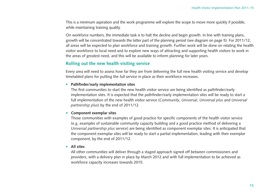This is a minimum aspiration and the work programme will explore the scope to move more quickly if possible, while maintaining training quality.

On workforce numbers, the immediate task is to halt the decline and begin growth. In line with training plans, growth will be concentrated towards the latter part of the planning period (see diagram on page 5). For 2011/12, all areas will be expected to plan workforce and training growth. Further work will be done on relating the health visitor workforce to local need and to explore new ways of attracting and supporting health visitors to work in the areas of greatest need, and this will be available to inform planning for later years.

## **Rolling out the new health visiting service**

Every area will need to assess how far they are from delivering the full new health visiting service and develop timetabled plans for putting the full service in place as their workforce increases.

#### • **Pathfinder/early implementation sites**

The first communities to start the new health visitor service are being identified as pathfinder/early implementation sites. It is expected that the pathfinder/early implementation sites will be ready to start a full implementation of the new health visitor service (*Community*, *Universal*, *Universal plus* and *Universal partnership plus*) by the end of 2011/12.

#### • **Component exemplar sites**

Those communities with examples of good practice for specific components of the health visitor service (e.g. examples of sustainable community capacity building and a good practice method of delivering a *Universal partnership plus* service) are being identified as component exemplar sites. It is anticipated that the component exemplar sites will be ready to start a partial implementation, leading with their exemplar component, by the end of 2011/12.

#### • **All sites**

All other communities will deliver through a staged approach signed off between commissioners and providers, with a delivery plan in place by March 2012 and with full implementation to be achieved as workforce capacity increases towards 2015.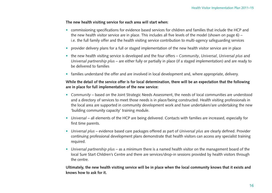#### **The new health visiting service for each area will start when:**

- commissioning specifications for evidence based services for children and families that include the HCP and the new health visitor service are in place. This includes all five levels of the model (shown on page 6) – i.e. the full family offer and the health visiting service contribution to multi-agency safeguarding services
- provider delivery plans for a full or staged implementation of the new health visitor service are in place
- the new health visiting service is developed and the four offers *Community*, *Universal*, *Universal plus* and *Universal partnership plus* – are either fully or partially in place (if a staged implementation) and are ready to be delivered to families
- families understand the offer and are involved in local development and, where appropriate, delivery.

## **While the detail of the service offer is for local determination, there will be an expectation that the following are in place for full implementation of the new service:**

- *Community* based on the Joint Strategic Needs Assessment, the needs of local communities are understood and a directory of services to meet those needs is in place/being constructed. Health visiting professionals in the local area are supported in community development work and have undertaken/are undertaking the new 'building community capacity' training module.
- *Universal* all elements of the HCP are being delivered. Contacts with families are increased, especially for first time parents.
- *Universal plus* evidence based care packages offered as part of *Universal plus* are clearly defined. Provider continuing professional development plans demonstrate that health visitors can access any specialist training required.
- *Universal partnership plus* as a minimum there is a named health visitor on the management board of the local Sure Start Children's Centre and there are services/drop-in sessions provided by health visitors through the centre.

**Ultimately, the new health visiting service will be in place when the local community knows that it exists and knows how to ask for it.**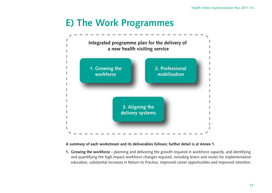# **E) The Work Programmes**



### **A summary of each workstream and its deliverables follows; further detail is at Annex 1.**

**1. Growing the workforce** – planning and delivering the growth required in workforce capacity, and identifying and quantifying the high impact workforce changes required, including levers and routes for implementation education, substantial increases in Return to Practice, improved career opportunities and improved retention.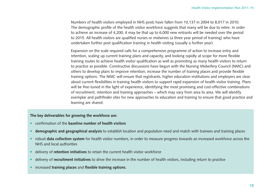Numbers of health visitors employed in NHS posts have fallen from 10,137 in 2004 to 8,017 in 2010. The demographic profile of the health visitor workforce suggests that many will be due to retire. In order to achieve an increase of 4,200, it may be that up to 6,000 new entrants will be needed over the period to 2015. All health visitors are qualified nurses or midwives (a three year period of training) who have undertaken further post qualification training in health visiting (usually a further year).

Expansion on the scale required calls for a comprehensive programme of action to increase entry and retention, scaling up current training plans and capacity, and looking rapidly at scope for more flexible training routes to achieve health visitor qualification as well as promoting as many health visitors to return to practice as possible. Constructive discussions have begun with the Nursing Midwifery Council (NMC) and others to develop plans to improve retention, increase the number of training places and provide flexible training options. The NMC will ensure that registrants, higher education institutions and employers are clear about current flexibilities in training health visitors to support rapid expansion of health visitor training. Plans will be fine-tuned in the light of experience, identifying the most promising and cost-effective combinations of recruitment, retention and training approaches – which may vary from area to area. We will identify exemplar and pathfinder sites for new approaches to education and training to ensure that good practice and learning are shared.

#### **The key deliverables for growing the workforce are:**

- confirmation of the **baseline number of health visitors**
- **demographic and geographical analysis** to establish location and population need and match with trainees and training places
- robust **data collection system** for health visitor numbers, in order to measure progress towards an increased workforce across the NHS and local authorities
- delivery of **retention initiatives** to retain the current health visitor workforce
- delivery of **recruitment initiatives** to drive the increase in the number of health visitors, including return to practice
- increased **training places** and **flexible training options**.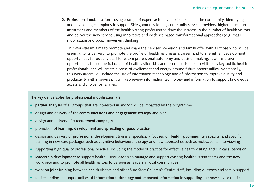**2. Professional mobilisation** – using a range of expertise to develop leadership in the community; identifying and developing champions to support SHAs, commissioners, community service providers, higher education institutions and members of the health visiting profession to drive the increase in the number of health visitors and deliver the new service using innovative and evidence based transformational approaches (e.g. mass mobilisation and social movement thinking).

This workstream aims to promote and share the new service vision and family offer with all those who will be essential to its delivery; to promote the profile of health visiting as a career; and to strengthen development opportunities for existing staff to restore professional autonomy and decision making. It will improve opportunities to use the full range of health visitor skills and re-emphasise health visitors as key public health professionals, and will create a sense of excitement and energy around future opportunities. Additionally, this workstream will include the use of information technology and of information to improve quality and productivity within services. It will also review information technology and information to support knowledge access and choice for families.

### **The key deliverables for professional mobilisation are:**

- **partner analysis** of all groups that are interested in and/or will be impacted by the programme
- design and delivery of the **communications and engagement strategy** and plan
- design and delivery of a **recruitment campaign**
- promotion of **learning, development and spreading of good practice**
- design and delivery of **professional development** training, specifically focused on **building community capacity**, and specific training in new care packages such as cognitive behavioural therapy and new approaches such as motivational interviewing
- supporting high quality professional practice, including the model of practice for effective health visiting and clinical supervision
- **leadership development** to support health visitor leaders to manage and support existing health visiting teams and the new workforce and to promote all health visitors to be seen as leaders in local communities
- work on **joint training** between health visitors and other Sure Start Children's Centre staff, including outreach and family support
- understanding the opportunities of **information technology and improved information** in supporting the new service model.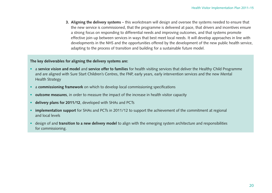**3. Aligning the delivery systems** – this workstream will design and oversee the systems needed to ensure that the new service is commissioned, that the programme is delivered at pace, that drivers and incentives ensure a strong focus on responding to differential needs and improving outcomes, and that systems promote effective join-up between services in ways that best meet local needs. It will develop approaches in line with developments in the NHS and the opportunities offered by the development of the new public health service, adapting to the process of transition and building for a sustainable future model.

#### **The key deliverables for aligning the delivery systems are:**

- a **service vision and model** and **service offer to families** for health visiting services that deliver the Healthy Child Programme and are aligned with Sure Start Children's Centres, the FNP, early years, early intervention services and the new Mental Health Strategy
- a **commissioning framework** on which to develop local commissioning specifications
- **outcome measures**, in order to measure the impact of the increase in health visitor capacity
- **delivery plans for 2011/12**, developed with SHAs and PCTs
- **implementation support** for SHAs and PCTs in 2011/12 to support the achievement of the commitment at regional and local levels
- design of and **transition to a new delivery model** to align with the emerging system architecture and responsibilities for commissioning.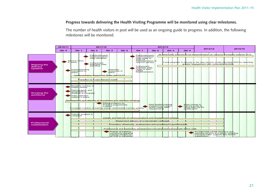#### **Progress towards delivering the Health Visiting Programme will be monitored using clear milestones.**

The number of health visitors in post will be used as an ongoing guide to progress. In addition, the following milestones will be monitored.

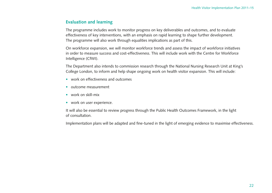## **Evaluation and learning**

The programme includes work to monitor progress on key deliverables and outcomes, and to evaluate effectiveness of key interventions, with an emphasis on rapid learning to shape further development. The programme will also work through equalities implications as part of this.

On workforce expansion, we will monitor workforce trends and assess the impact of workforce initiatives in order to measure success and cost-effectiveness. This will include work with the Centre for Workforce Intelligence (CfWI).

The Department also intends to commission research through the National Nursing Research Unit at King's College London, to inform and help shape ongoing work on health visitor expansion. This will include:

- work on effectiveness and outcomes
- outcome measurement
- work on skill-mix
- work on user experience.

It will also be essential to review progress through the Public Health Outcomes Framework, in the light of consultation.

Implementation plans will be adapted and fine-tuned in the light of emerging evidence to maximise effectiveness.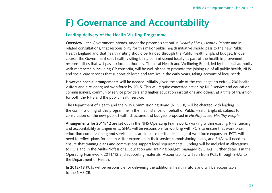# **F) Governance and Accountability**

## **Leading delivery of the Health Visiting Programme**

**Overview** – the Government intends, under the proposals set out in *Healthy Lives, Healthy People* and in related consultations, that responsibility for this major public health initiative should pass to the new Public Health England and that health visiting should be funded through the Public Health England budget. In due course, the Government sees health visiting being commissioned locally as part of the health improvement responsibilities that will pass to local authorities. The local Health and Wellbeing Board, led by the local authority with membership including GP consortia, will be well placed to promote the joining up of all public health, NHS and social care services that support children and families in the early years, taking account of local needs.

**However, special arrangements will be needed initially** given the scale of the challenge: an extra 4,200 health visitors and a re-energised workforce by 2015. This will require concerted action by NHS service and education commissioners, community service providers and higher education institutions and others, at a time of transition for both the NHS and the public health service.

The Department of Health and the NHS Commissioning Board (NHS CB) will be charged with leading the commissioning of this programme in the first instance, on behalf of Public Health England, subject to consultation on the new public health structures and budgets proposed in *Healthy Lives, Healthy People*.

**Arrangements for 2011/12** are set out in the NHS Operating Framework, working within existing NHS funding and accountability arrangements. SHAs will be responsible for working with PCTs to ensure that workforce, education commissioning and service plans are in place for the first stage of workforce expansion. PCTs will need to reflect plans for health visitor expansion in their service commissioning plans, and SHAs will need to ensure that training plans and commissions support local requirements. Funding will be included in allocations to PCTs and in the Multi-Professional Education and Training budget, managed by SHAs. Further detail is in the Operating Framework 2011/12 and supporting materials. Accountability will run from PCTs through SHAs to the Department of Health.

**In 2012/13** PCTs will be responsible for delivering the additional health visitors and will be accountable to the NHS CB.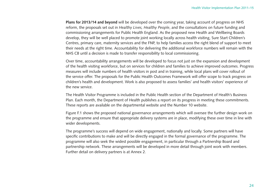**Plans for 2013/14 and beyond** will be developed over the coming year, taking account of progress on NHS reform, the proposals set out in *Healthy Lives, Healthy People*, and the consultations on future funding and commissioning arrangements for Public Health England. As the proposed new Health and Wellbeing Boards develop, they will be well placed to promote joint working locally across health visiting, Sure Start Children's Centres, primary care, maternity services and the FNP, to help families access the right blend of support to meet their needs at the right time. Accountability for delivering the additional workforce numbers will remain with the NHS CB until a decision is made to transfer responsibility to local commissioning.

Over time, accountability arrangements will be developed to focus not just on the expansion and development of the health visiting workforce, but on services for children and families to achieve improved outcomes. Progress measures will include numbers of health visitors in post and in training, while local plans will cover rollout of the service offer. The proposals for the Public Health Outcomes Framework will offer scope to track progress on children's health and development. Work is also proposed to assess families' and health visitors' experience of the new service.

The Health Visitor Programme is included in the Public Health section of the Department of Health's Business Plan. Each month, the Department of Health publishes a report on its progress in meeting these commitments. These reports are available on the departmental website and the Number 10 website.

Figure F.1 shows the proposed national governance arrangements which will oversee the further design work on the programme and ensure that appropriate delivery systems are in place, modifying these over time in line with wider developments.

The programme's success will depend on wide engagement, nationally and locally. Some partners will have specific contributions to make and will be directly engaged in the formal governance of the programme. The programme will also seek the widest possible engagement, in particular through a Partnership Board and partnership network. These arrangements will be developed in more detail through joint work with members. Further detail on delivery partners is at Annex 2.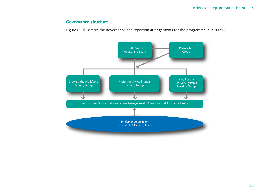## **Governance structure**

Figure F.1 illustrates the governance and reporting arrangements for the programme in 2011/12.

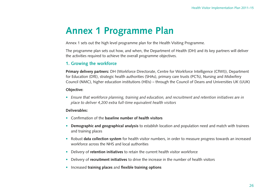# **Annex 1 Programme Plan**

Annex 1 sets out the high level programme plan for the Health Visiting Programme.

The programme plan sets out how, and when, the Department of Health (DH) and its key partners will deliver the activities required to achieve the overall programme objectives.

## **1. Growing the workforce**

**Primary delivery partners:** DH (Workforce Directorate, Centre for Workforce Intelligence (CfWI)), Department for Education (DfE), strategic health authorities (SHAs), primary care trusts (PCTs), Nursing and Midwifery Council (NMC), higher education institutions (HEIs) – through the Council of Deans and Universities UK (UUK)

## **Objective:**

• *Ensure that workforce planning, training and education, and recruitment and retention initiatives are in place to deliver 4,200 extra full-time equivalent health visitors*

### **Deliverables:**

- Confirmation of the **baseline number of health visitors**
- **Demographic and geographical analysis** to establish location and population need and match with trainees and training places
- Robust **data collection system** for health visitor numbers, in order to measure progress towards an increased workforce across the NHS and local authorities
- Delivery of **retention initiatives** to retain the current health visitor workforce
- Delivery of **recruitment initiatives** to drive the increase in the number of health visitors
- Increased **training places** and **flexible training options**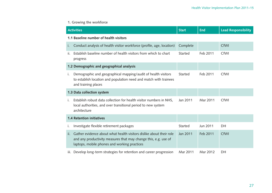## **1. Growing the workforce**

|                                        | <b>Activities</b>                                                                                                                                                                      | <b>Start</b> | <b>End</b> | <b>Lead Responsibility</b> |  |
|----------------------------------------|----------------------------------------------------------------------------------------------------------------------------------------------------------------------------------------|--------------|------------|----------------------------|--|
| 1.1 Baseline number of health visitors |                                                                                                                                                                                        |              |            |                            |  |
| Ĺ.                                     | Conduct analysis of health visitor workforce (profile, age, location)                                                                                                                  | Complete     |            | CfWI                       |  |
| ii.                                    | Establish baseline number of health visitors from which to chart<br>progress                                                                                                           | Started      | Feb 2011   | CfWI                       |  |
|                                        | 1.2 Demographic and geographical analysis                                                                                                                                              |              |            |                            |  |
| i.                                     | Demographic and geographical mapping/audit of health visitors<br>to establish location and population need and match with trainees<br>and training places                              | Started      | Feb 2011   | CfWI                       |  |
|                                        | 1.3 Data collection system                                                                                                                                                             |              |            |                            |  |
| i.                                     | Establish robust data collection for health visitor numbers in NHS,<br>local authorities, and over transitional period to new system<br>architecture                                   | Jan 2011     | Mar 2011   | CfWI                       |  |
|                                        | <b>1.4 Retention initiatives</b>                                                                                                                                                       |              |            |                            |  |
| Ť.                                     | Investigate flexible retirement packages                                                                                                                                               | Started      | Jun 2011   | DH                         |  |
| ii.                                    | Gather evidence about what health visitors dislike about their role<br>and any productivity measures that may change this, e.g. use of<br>laptops, mobile phones and working practices | Jan 2011     | Feb 2011   | CfWI                       |  |
| iii.                                   | Develop long-term strategies for retention and career progression                                                                                                                      | Mar 2011     | Mar 2012   | DH                         |  |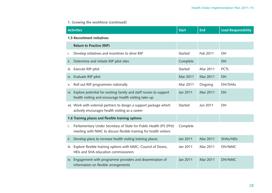# **1. Growing the workforce (continued)**

|                             | <b>Activities</b>                                                                                                                       |          | <b>End</b> | <b>Lead Responsibility</b> |  |
|-----------------------------|-----------------------------------------------------------------------------------------------------------------------------------------|----------|------------|----------------------------|--|
| 1.5 Recruitment initiatives |                                                                                                                                         |          |            |                            |  |
|                             | <b>Return to Practice (RtP)</b>                                                                                                         |          |            |                            |  |
| Ť.                          | Develop initiatives and incentives to drive RtP                                                                                         | Started  | Feb 2011   | DH                         |  |
| ii.                         | Determine and initiate RtP pilot sites                                                                                                  | Complete |            | DH                         |  |
| iii.                        | Execute RtP pilot                                                                                                                       | Started  | Mar 2011   | <b>PCTs</b>                |  |
|                             | iv. Evaluate RtP pilot                                                                                                                  | Mar 2011 | Mar 2011   | DH                         |  |
| V.                          | Roll out RtP programmes nationally                                                                                                      | Mar 2011 | Ongoing    | DH/SHAs                    |  |
|                             | vi. Explore potential for existing family and staff nurses to support<br>health visiting and encourage health visiting take-up          | Jan 2011 | Mar 2011   | DH                         |  |
|                             | vii. Work with external partners to design a support package which<br>actively encourages health visiting as a career                   | Started  | Jun 2011   | DH                         |  |
|                             | 1.6 Training places and flexible training options                                                                                       |          |            |                            |  |
| i.                          | Parliamentary Under Secretary of State for Public Health (PS (PH))<br>meeting with NMC to discuss flexible training for health visitors | Complete |            |                            |  |
| ii.                         | Develop plans to increase health visiting training places                                                                               | Jan 2011 | Mar 2011   | SHAs/HEIs                  |  |
| iii.                        | Explore flexible training options with NMC, Council of Deans,<br>HEIs and SHA education commissioners                                   | Jan 2011 | Mar 2011   | DH/NMC                     |  |
|                             | iv. Engagement with programme providers and dissemination of<br>information on flexible arrangements                                    | Jan 2011 | Mar 2011   | DH/NMC                     |  |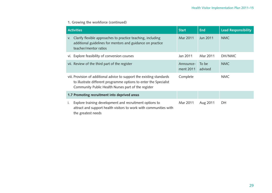# **1. Growing the workforce (continued)**

| <b>Start</b><br><b>Activities</b>                                                                                                                                                                  |                        | <b>End</b>       | <b>Lead Responsibility</b> |
|----------------------------------------------------------------------------------------------------------------------------------------------------------------------------------------------------|------------------------|------------------|----------------------------|
| Clarify flexible approaches to practice teaching, including<br>V.<br>additional guidelines for mentors and guidance on practice<br>teacher/mentor ratios                                           | Mar 2011               | Jun 2011         | <b>NMC</b>                 |
| vi. Explore feasibility of conversion courses                                                                                                                                                      | Jan 2011               | Mar 2011         | DH/NMC                     |
| vii. Review of the third part of the register                                                                                                                                                      | Announce-<br>ment 2011 | To be<br>advised | <b>NMC</b>                 |
| viii. Provision of additional advice to support the existing standards<br>to illustrate different programme options to enter the Specialist<br>Community Public Health Nurses part of the register | Complete               |                  | <b>NMC</b>                 |
| 1.7 Promoting recruitment into deprived areas                                                                                                                                                      |                        |                  |                            |
| Explore training development and recruitment options to<br>Τ.<br>attract and support health visitors to work with communities with<br>the greatest needs                                           | Mar 2011               | Aug 2011         | DH                         |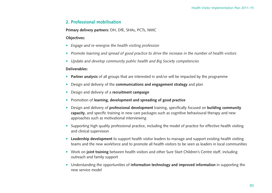## **2. Professional mobilisation**

**Primary delivery partners:** DH, DfE, SHAs, PCTs, NMC

### **Objectives:**

- *Engage and re-energise the health visiting profession*
- *Promote learning and spread of good practice to drive the increase in the number of health visitors*
- *Update and develop community public health and Big Society competencies*

#### **Deliverables:**

- **Partner analysis** of all groups that are interested in and/or will be impacted by the programme
- Design and delivery of the **communications and engagement strategy** and plan
- Design and delivery of a **recruitment campaign**
- Promotion of **learning, development and spreading of good practice**
- Design and delivery of **professional development** training, specifically focused on **building community capacity**, and specific training in new care packages such as cognitive behavioural therapy and new approaches such as motivational interviewing
- Supporting high quality professional practice, including the model of practice for effective health visiting and clinical supervision
- **Leadership development** to support health visitor leaders to manage and support existing health visiting teams and the new workforce and to promote all health visitors to be seen as leaders in local communities
- Work on **joint training** between health visitors and other Sure Start Children's Centre staff, including outreach and family support
- Understanding the opportunities of **information technology and improved information** in supporting the new service model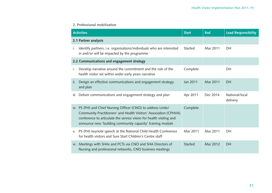### **2. Professional mobilisation**

|     | <b>Activities</b>                                                                                                                                                                                                                                                       |                | <b>End</b> | <b>Lead Responsibility</b> |
|-----|-------------------------------------------------------------------------------------------------------------------------------------------------------------------------------------------------------------------------------------------------------------------------|----------------|------------|----------------------------|
|     | 2.1 Partner analysis                                                                                                                                                                                                                                                    |                |            |                            |
| i.  | Identify partners, i.e. organisations/individuals who are interested<br>in and/or will be impacted by the programme                                                                                                                                                     | Started        | Mar 2011   | DH                         |
|     | 2.2 Communications and engagement strategy                                                                                                                                                                                                                              |                |            |                            |
| i.  | Develop narrative around the commitment and the role of the<br>health visitor set within wider early years narrative                                                                                                                                                    | Complete       |            | DH                         |
| ii. | Design an effective communications and engagement strategy<br>and plan                                                                                                                                                                                                  | Jan 2011       | Mar 2011   | DH                         |
|     | iii. Deliver communications and engagement strategy and plan                                                                                                                                                                                                            | Apr 2011       | Dec 2014   | National/local<br>delivery |
|     | iv. PS (PH) and Chief Nursing Officer (CNO) to address Unite/<br>Community Practitioners' and Health Visitors' Association (CPHVA)<br>conference to articulate the service vision for health visiting and<br>announce new 'building community capacity' training module | Complete       |            |                            |
|     | v. PS (PH) keynote speech at the National Child Health Conference<br>for health visitors and Sure Start Children's Centre staff                                                                                                                                         | Mar 2011       | Mar 2011   | DH                         |
|     | vi. Meetings with SHAs and PCTs via CNO and SHA Directors of<br>Nursing and professional networks, CNO business meetings                                                                                                                                                | <b>Started</b> | Mar 2012   | <b>DH</b>                  |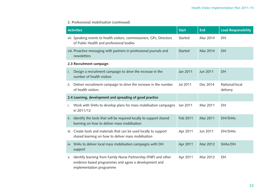### **2. Professional mobilisation (continued)**

|     | <b>Activities</b>                                                                                                                                    | <b>Start</b>   | <b>End</b> | <b>Lead Responsibility</b> |
|-----|------------------------------------------------------------------------------------------------------------------------------------------------------|----------------|------------|----------------------------|
|     | vii. Speaking events to health visitors, commissioners, GPs, Directors<br>of Public Health and professional bodies                                   | Started        | Mar 2014   | DH                         |
|     | viii. Proactive messaging with partners in professional journals and<br>newsletters                                                                  | <b>Started</b> | Mar 2014   | <b>DH</b>                  |
|     | 2.3 Recruitment campaign                                                                                                                             |                |            |                            |
| i.  | Design a recruitment campaign to drive the increase in the<br>number of health visitors                                                              | Jan 2011       | Jun 2011   | DH                         |
| ii. | Deliver recruitment campaign to drive the increase in the number<br>of health visitors                                                               | Jul 2011       | Dec 2014   | National/local<br>delivery |
|     | 2.4 Learning, development and spreading of good practice                                                                                             |                |            |                            |
| i.  | Work with SHAs to develop plans for mass mobilisation campaigns<br>in 2011/12                                                                        | Jan 2011       | Mar 2011   | DH                         |
| ii. | Identify the tools that will be required locally to support shared<br>learning on how to deliver mass mobilisation                                   | Feb 2011       | Mar 2011   | DH/SHAs                    |
|     | iii. Create tools and materials that can be used locally to support<br>shared learning on how to deliver mass mobilisation                           | Apr 2011       | Jun 2011   | DH/SHAs                    |
|     | iv. SHAs to deliver local mass mobilisation campaigns with DH<br>support                                                                             | Apr 2011       | Mar 2012   | SHAs/DH                    |
| V.  | Identify learning from Family Nurse Partnership (FNP) and other<br>evidence based programmes and agree a development and<br>implementation programme | Apr 2011       | Mar 2012   | DH                         |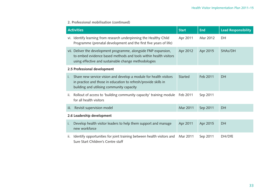### **2. Professional mobilisation (continued)**

|      | <b>Activities</b>                                                                                                                                                                            | <b>Start</b>   | <b>End</b> | <b>Lead Responsibility</b> |  |  |
|------|----------------------------------------------------------------------------------------------------------------------------------------------------------------------------------------------|----------------|------------|----------------------------|--|--|
|      | vi. Identify learning from research underpinning the Healthy Child<br>Programme (prenatal development and the first five years of life)                                                      | Apr 2011       | Mar 2012   | DH                         |  |  |
|      | vii. Deliver the development programme, alongside FNP expansion,<br>to embed evidence based methods and tools within health visitors<br>using effective and sustainable change methodologies | Apr 2012       | Apr 2015   | SHAs/DH                    |  |  |
|      | 2.5 Professional development                                                                                                                                                                 |                |            |                            |  |  |
| i.   | Share new service vision and develop a module for health visitors<br>in practice and those in education to refresh/provide skills in<br>building and utilising community capacity            | <b>Started</b> | Feb 2011   | DH                         |  |  |
| ii.  | Rollout of access to 'building community capacity' training module<br>for all health visitors                                                                                                | Feb 2011       | Sep 2011   |                            |  |  |
| iii. | Revisit supervision model                                                                                                                                                                    | Mar 2011       | Sep 2011   | <b>DH</b>                  |  |  |
|      | 2.6 Leadership development                                                                                                                                                                   |                |            |                            |  |  |
| Ť.   | Develop health visitor leaders to help them support and manage<br>new workforce                                                                                                              | Apr 2011       | Apr 2015   | DH                         |  |  |
| ii.  | Identify opportunities for joint training between health visitors and<br>Sure Start Children's Centre staff                                                                                  | Mar 2011       | Sep 2011   | DH/DfE                     |  |  |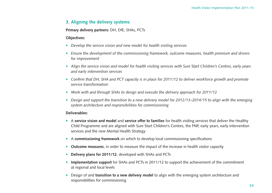## **3. Aligning the delivery systems**

#### **Primary delivery partners:** DH, DfE, SHAs, PCTs

#### **Objectives:**

- *Develop the service vision and new model for health visiting services*
- *Ensure the development of the commissioning framework, outcome measures, health premium and drivers for improvement*
- *Align the service vision and model for health visiting services with Sure Start Children's Centres, early years and early intervention services*
- *Confirm that DH, SHA and PCT capacity is in place for 2011/12 to deliver workforce growth and promote service transformation*
- *Work with and through SHAs to design and execute the delivery approach for 2011/12*
- *Design and support the transition to a new delivery model for 2012/13–2014/15 to align with the emerging system architecture and responsibilities for commissioning*

#### **Deliverables:**

- A **service vision and model** and **service offer to families** for health visiting services that deliver the Healthy Child Programme and are aligned with Sure Start Children's Centres, the FNP, early years, early intervention services and the new Mental Health Strategy
- A **commissioning framework** on which to develop local commissioning specifications
- **Outcome measures**, in order to measure the impact of the increase in health visitor capacity
- **Delivery plans for 2011/12**, developed with SHAs and PCTs
- **Implementation support** for SHAs and PCTs in 2011/12 to support the achievement of the commitment at regional and local levels
- Design of and **transition to a new delivery model** to align with the emerging system architecture and responsibilities for commissioning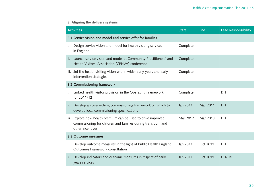# **3. Aligning the delivery systems**

|     | <b>Activities</b>                                                                                                                                   |          | <b>End</b> | <b>Lead Responsibility</b> |
|-----|-----------------------------------------------------------------------------------------------------------------------------------------------------|----------|------------|----------------------------|
|     | 3.1 Service vision and model and service offer for families                                                                                         |          |            |                            |
| İ.  | Design service vision and model for health visiting services<br>in England                                                                          | Complete |            |                            |
| ii. | Launch service vision and model at Community Practitioners' and<br>Health Visitors' Association (CPHVA) conference                                  | Complete |            |                            |
|     | iii. Set the health visiting vision within wider early years and early<br>intervention strategies                                                   | Complete |            |                            |
|     | 3.2 Commissioning framework                                                                                                                         |          |            |                            |
| İ.  | Embed health visitor provision in the Operating Framework<br>for 2011/12                                                                            | Complete |            | DH                         |
| ii. | Develop an overarching commissioning framework on which to<br>develop local commissioning specifications                                            | Jan 2011 | Mar 2011   | <b>DH</b>                  |
|     | iii. Explore how health premium can be used to drive improved<br>commissioning for children and families during transition, and<br>other incentives | Mar 2012 | Mar 2013   | <b>DH</b>                  |
|     | 3.3 Outcome measures                                                                                                                                |          |            |                            |
| i.  | Develop outcome measures in the light of Public Health England<br>Outcomes Framework consultation                                                   | Jan 2011 | Oct 2011   | DH                         |
| ii. | Develop indicators and outcome measures in respect of early<br>years services                                                                       | Jan 2011 | Oct 2011   | DH/DfE                     |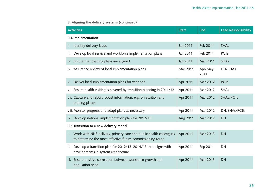# **3. Aligning the delivery systems (continued)**

| <b>Activities</b>                                                                                                                     | <b>Start</b> | <b>End</b>      | <b>Lead Responsibility</b> |  |  |  |
|---------------------------------------------------------------------------------------------------------------------------------------|--------------|-----------------|----------------------------|--|--|--|
| 3.4 Implementation                                                                                                                    |              |                 |                            |  |  |  |
| Identify delivery leads<br>i.                                                                                                         | Jan 2011     | Feb 2011        | <b>SHAs</b>                |  |  |  |
| Develop local service and workforce implementation plans<br>ii.                                                                       | Jan 2011     | Feb 2011        | <b>PCTs</b>                |  |  |  |
| iii. Ensure that training plans are aligned                                                                                           | Jan 2011     | Mar 2011        | <b>SHAs</b>                |  |  |  |
| iv. Assurance review of local implementation plans                                                                                    | Mar 2011     | Apr/May<br>2011 | DH/SHAs                    |  |  |  |
| Deliver local implementation plans for year one<br>V.                                                                                 | Apr 2011     | Mar 2012        | <b>PCTs</b>                |  |  |  |
| vi. Ensure health visiting is covered by transition planning in 2011/12                                                               | Apr 2011     | Mar 2012        | <b>SHAs</b>                |  |  |  |
| vii. Capture and report robust information, e.g. on attrition and<br>training places                                                  | Apr 2011     | Mar 2012        | SHAs/PCTs                  |  |  |  |
| viii. Monitor progress and adapt plans as necessary                                                                                   | Apr 2011     | Mar 2012        | DH/SHAs/PCTs               |  |  |  |
| Develop national implementation plan for 2012/13<br>ix.                                                                               | Aug 2011     | Mar 2012        | <b>DH</b>                  |  |  |  |
| 3.5 Transition to a new delivery model                                                                                                |              |                 |                            |  |  |  |
| Work with NHS delivery, primary care and public health colleagues<br>i.<br>to determine the most effective future commissioning route | Apr 2011     | Mar 2013        | <b>DH</b>                  |  |  |  |
| Develop a transition plan for 2012/13-2014/15 that aligns with<br>ii.<br>developments in system architecture                          | Apr 2011     | Sep 2011        | DH                         |  |  |  |
| iii. Ensure positive correlation between workforce growth and<br>population need                                                      | Apr 2011     | Mar 2013        | <b>DH</b>                  |  |  |  |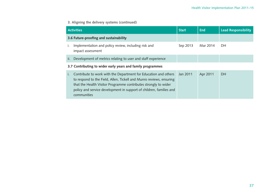# **3. Aligning the delivery systems (continued)**

|                                        | <b>Activities</b>                                                                                                                                                                                                                                                                               |          | End      | <b>Lead Responsibility</b> |
|----------------------------------------|-------------------------------------------------------------------------------------------------------------------------------------------------------------------------------------------------------------------------------------------------------------------------------------------------|----------|----------|----------------------------|
| 3.6 Future-proofing and sustainability |                                                                                                                                                                                                                                                                                                 |          |          |                            |
| Ť.                                     | Implementation and policy review, including risk and<br>impact assessment                                                                                                                                                                                                                       | Sep 2013 | Mar 2014 | DH.                        |
| ii.                                    | Development of metrics relating to user and staff experience                                                                                                                                                                                                                                    |          |          |                            |
|                                        | 3.7 Contributing to wider early years and family programmes                                                                                                                                                                                                                                     |          |          |                            |
| $\mathbf{L}$                           | Contribute to work with the Department for Education and others<br>to respond to the Field, Allen, Tickell and Munro reviews, ensuring<br>that the Health Visitor Programme contributes strongly to wider<br>policy and service development in support of children, families and<br>communities | Jan 2011 | Apr 2011 | DH                         |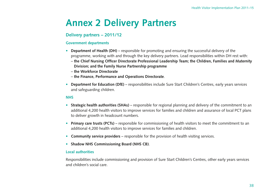# **Annex 2 Delivery Partners**

## **Delivery partners – 2011/12**

#### **Government departments**

- **Department of Health (DH)**  responsible for promoting and ensuring the successful delivery of the programme, working with and through the key delivery partners. Lead responsibilities within DH rest with:
	- **the Chief Nursing Officer Directorate Professional Leadership Team; the Children, Families and Maternity Division; and the Family Nurse Partnership programme**
	- **the Workforce Directorate**
	- **the Finance, Performance and Operations Directorate**.
- **Department for Education (DfE)** responsibilities include Sure Start Children's Centres, early years services and safeguarding children.

### **NHS**

- **Strategic health authorities (SHAs)**  responsible for regional planning and delivery of the commitment to an additional 4,200 health visitors to improve services for families and children and assurance of local PCT plans to deliver growth in headcount numbers.
- **Primary care trusts (PCTs)** responsible for commissioning of health visitors to meet the commitment to an additional 4,200 health visitors to improve services for families and children.
- **Community service providers** responsible for the provision of health visiting services.
- **Shadow NHS Commissioning Board (NHS CB)**.

#### **Local authorities**

Responsibilities include commissioning and provision of Sure Start Children's Centres, other early years services and children's social care.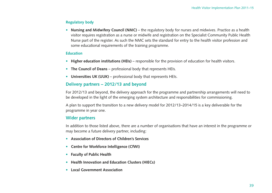## **Regulatory body**

• **Nursing and Midwifery Council (NMC)** – the regulatory body for nurses and midwives. Practice as a health visitor requires registration as a nurse or midwife and registration on the Specialist Community Public Health Nurse part of the register. As such the NMC sets the standard for entry to the health visitor profession and some educational requirements of the training programme.

### **Education**

- Higher education institutions (HEIs) responsible for the provision of education for health visitors.
- **The Council of Deans** professional body that represents HEIs.
- **Universities UK (UUK)** professional body that represents HEIs.

# **Delivery partners – 2012/13 and beyond**

For 2012/13 and beyond, the delivery approach for the programme and partnership arrangements will need to be developed in the light of the emerging system architecture and responsibilities for commissioning.

A plan to support the transition to a new delivery model for 2012/13–2014/15 is a key deliverable for the programme in year one.

## **Wider partners**

In addition to those listed above, there are a number of organisations that have an interest in the programme or may become a future delivery partner, including:

- **Association of Directors of Children's Services**
- **Centre for Workforce Intelligence (CfWI)**
- **Faculty of Public Health**
- **Health Innovation and Education Clusters (HIECs)**
- **Local Government Association**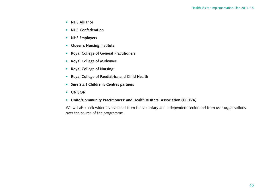- **NHS Alliance**
- **NHS Confederation**
- **NHS Employers**
- **Queen's Nursing Institute**
- **Royal College of General Practitioners**
- **Royal College of Midwives**
- **Royal College of Nursing**
- **Royal College of Paediatrics and Child Health**
- **Sure Start Children's Centres partners**
- **UNISON**
- **Unite/Community Practitioners' and Health Visitors' Association (CPHVA)**

We will also seek wider involvement from the voluntary and independent sector and from user organisations over the course of the programme.